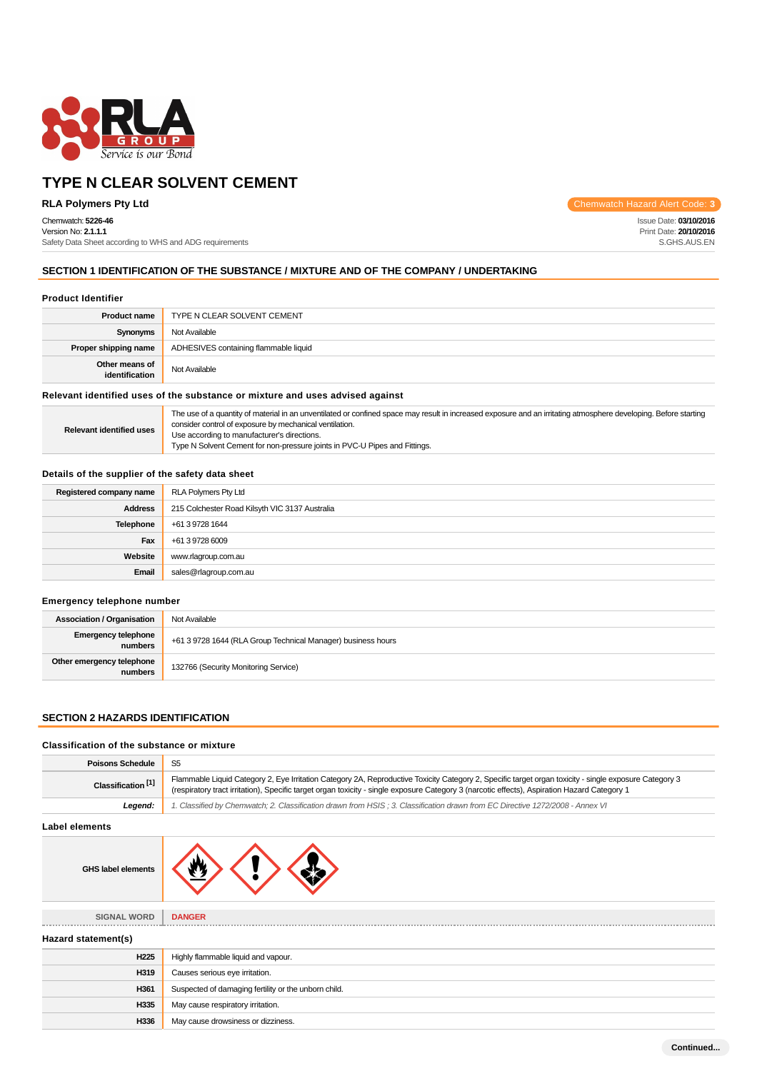

Chemwatch: **5226-46**

Version No: **2.1.1.1** Safety Data Sheet according to WHS and ADG requirements

**RLA Polymers Pty Ltd** Chemwatch Hazard Alert Code: 3

Issue Date: **03/10/2016** Print Date: **20/10/2016** S.GHS.AUS.EN

# **SECTION 1 IDENTIFICATION OF THE SUBSTANCE / MIXTURE AND OF THE COMPANY / UNDERTAKING**

### **Product Identifier**

| TYPE N CLEAR SOLVENT CEMENT           |
|---------------------------------------|
| Not Available                         |
| ADHESIVES containing flammable liquid |
| Not Available                         |
|                                       |

### **Relevant identified uses of the substance or mixture and uses advised against**

| <b>Relevant identified uses</b> | The use of a quantity of material in an unventilated or confined space may result in increased exposure and an irritating atmosphere developing. Before starting<br>consider control of exposure by mechanical ventilation. |
|---------------------------------|-----------------------------------------------------------------------------------------------------------------------------------------------------------------------------------------------------------------------------|
|                                 | Use according to manufacturer's directions.                                                                                                                                                                                 |
|                                 | Type N Solvent Cement for non-pressure joints in PVC-U Pipes and Fittings.                                                                                                                                                  |

# **Details of the supplier of the safety data sheet**

| Registered company name | <b>RLA Polymers Pty Ltd</b>                    |  |
|-------------------------|------------------------------------------------|--|
|                         |                                                |  |
| <b>Address</b>          | 215 Colchester Road Kilsyth VIC 3137 Australia |  |
| <b>Telephone</b>        | +61 3 9728 1644                                |  |
| Fax                     | +61 3 9728 6009                                |  |
| Website                 | www.rlagroup.com.au                            |  |
| Email                   | sales@rlagroup.com.au                          |  |

### **Emergency telephone number**

| <b>Association / Organisation</b>    | Not Available                                                |  |
|--------------------------------------|--------------------------------------------------------------|--|
| Emergency telephone<br>numbers       | +61 3 9728 1644 (RLA Group Technical Manager) business hours |  |
| Other emergency telephone<br>numbers | 132766 (Security Monitoring Service)                         |  |

# **SECTION 2 HAZARDS IDENTIFICATION**

# **Classification of the substance or mixture Poisons Schedule** S5

| Flammable Liquid Category 2, Eye Irritation Category 2A, Reproductive Toxicity Category 2, Specific target organ toxicity - single exposure Category 3<br>(respiratory tract irritation), Specific target organ toxicity - single exposure Category 3 (narcotic effects), Aspiration Hazard Category 1 |  |
|--------------------------------------------------------------------------------------------------------------------------------------------------------------------------------------------------------------------------------------------------------------------------------------------------------|--|
| 1. Classified by Chemwatch; 2. Classification drawn from HSIS; 3. Classification drawn from EC Directive 1272/2008 - Annex VI                                                                                                                                                                          |  |
|                                                                                                                                                                                                                                                                                                        |  |
|                                                                                                                                                                                                                                                                                                        |  |
| <b>DANGER</b>                                                                                                                                                                                                                                                                                          |  |
|                                                                                                                                                                                                                                                                                                        |  |
|                                                                                                                                                                                                                                                                                                        |  |
| Highly flammable liquid and vapour.                                                                                                                                                                                                                                                                    |  |
| Causes serious eye irritation.                                                                                                                                                                                                                                                                         |  |
| Suspected of damaging fertility or the unborn child.                                                                                                                                                                                                                                                   |  |
| May cause respiratory irritation.                                                                                                                                                                                                                                                                      |  |
|                                                                                                                                                                                                                                                                                                        |  |
|                                                                                                                                                                                                                                                                                                        |  |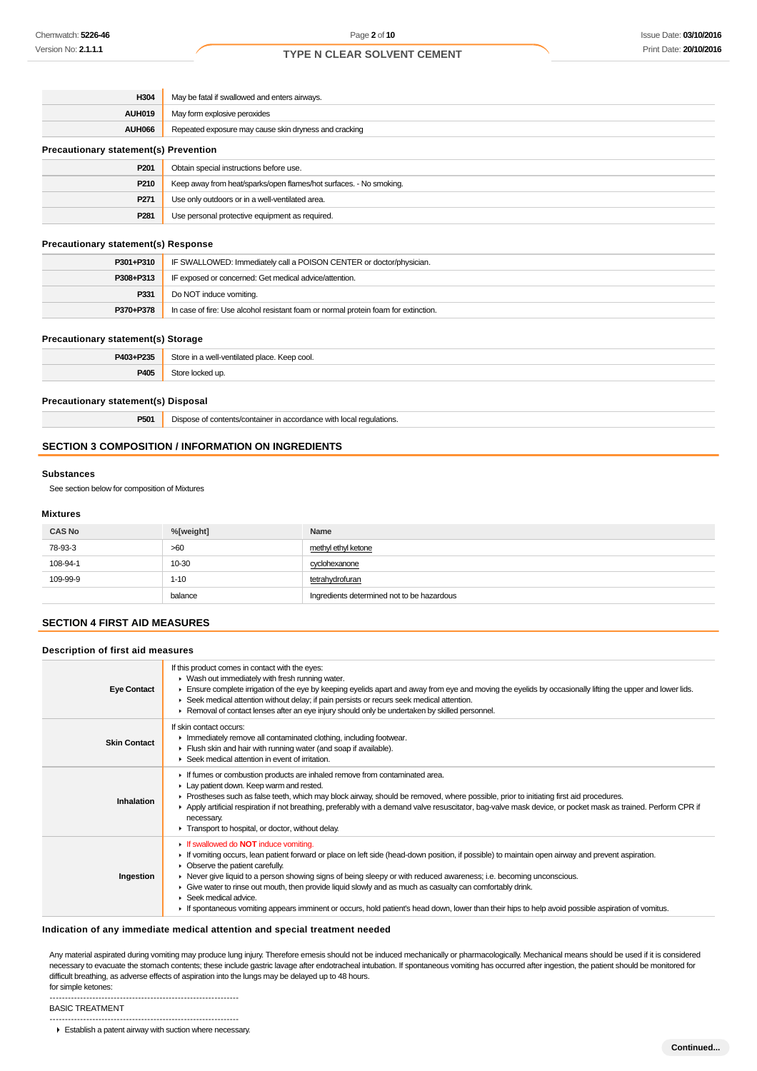| H304                                         | May be fatal if swallowed and enters airways.                      |  |
|----------------------------------------------|--------------------------------------------------------------------|--|
| <b>AUH019</b>                                | May form explosive peroxides                                       |  |
| AUH066                                       | Repeated exposure may cause skin dryness and cracking              |  |
| <b>Precautionary statement(s) Prevention</b> |                                                                    |  |
| P201                                         | Obtain special instructions before use.                            |  |
| P210                                         | Keep away from heat/sparks/open flames/hot surfaces. - No smoking. |  |
| P271                                         | Use only outdoors or in a well-ventilated area.                    |  |
| P <sub>281</sub>                             | Use personal protective equipment as required.                     |  |

### **Precautionary statement(s) Response**

| P301+P310 | IF SWALLOWED: Immediately call a POISON CENTER or doctor/physician.                |  |
|-----------|------------------------------------------------------------------------------------|--|
| P308+P313 | IF exposed or concerned: Get medical advice/attention.                             |  |
| P331      | Do NOT induce vomiting.                                                            |  |
| P370+P378 | In case of fire: Use alcohol resistant foam or normal protein foam for extinction. |  |

#### **Precautionary statement(s) Storage**

| P403+P235 | Store<br>n a well-ventilated place.<br>. Keep cool. |
|-----------|-----------------------------------------------------|
| P405      | uc                                                  |

# **Precautionary statement(s) Disposal**

**P501** Dispose of contents/container in accordance with local regulations.

### **SECTION 3 COMPOSITION / INFORMATION ON INGREDIENTS**

#### **Substances**

See section below for composition of Mixtures

### **Mixtures**

| <b>CAS No</b> | %[weight] | Name                                       |
|---------------|-----------|--------------------------------------------|
| 78-93-3       | >60       | methyl ethyl ketone                        |
| 108-94-1      | $10 - 30$ | cyclohexanone                              |
| 109-99-9      | $1 - 10$  | tetrahydrofuran                            |
|               | balance   | Ingredients determined not to be hazardous |

# **SECTION 4 FIRST AID MEASURES**

### **Description of first aid measures**

| <b>Eye Contact</b>  | If this product comes in contact with the eyes:<br>▶ Wash out immediately with fresh running water.<br>Ensure complete irrigation of the eye by keeping eyelids apart and away from eye and moving the eyelids by occasionally lifting the upper and lower lids.<br>▶ Seek medical attention without delay; if pain persists or recurs seek medical attention.<br>► Removal of contact lenses after an eye injury should only be undertaken by skilled personnel.                                                                                                                                                                                                           |
|---------------------|-----------------------------------------------------------------------------------------------------------------------------------------------------------------------------------------------------------------------------------------------------------------------------------------------------------------------------------------------------------------------------------------------------------------------------------------------------------------------------------------------------------------------------------------------------------------------------------------------------------------------------------------------------------------------------|
| <b>Skin Contact</b> | If skin contact occurs:<br>Inmediately remove all contaminated clothing, including footwear.<br>Flush skin and hair with running water (and soap if available).<br>$\blacktriangleright$ Seek medical attention in event of irritation.                                                                                                                                                                                                                                                                                                                                                                                                                                     |
| Inhalation          | If fumes or combustion products are inhaled remove from contaminated area.<br>Lay patient down. Keep warm and rested.<br>► Prostheses such as false teeth, which may block airway, should be removed, where possible, prior to initiating first aid procedures.<br>▶ Apply artificial respiration if not breathing, preferably with a demand valve resuscitator, bag-valve mask device, or pocket mask as trained. Perform CPR if<br>necessary.<br>Transport to hospital, or doctor, without delay.                                                                                                                                                                         |
| Ingestion           | If swallowed do <b>NOT</b> induce vomiting.<br>If vomiting occurs, lean patient forward or place on left side (head-down position, if possible) to maintain open airway and prevent aspiration.<br>• Observe the patient carefully.<br>► Never give liquid to a person showing signs of being sleepy or with reduced awareness; i.e. becoming unconscious.<br>► Give water to rinse out mouth, then provide liquid slowly and as much as casualty can comfortably drink.<br>$\blacktriangleright$ Seek medical advice.<br>If spontaneous vomiting appears imminent or occurs, hold patient's head down, lower than their hips to help avoid possible aspiration of vomitus. |

### **Indication of any immediate medical attention and special treatment needed**

Any material aspirated during vomiting may produce lung injury. Therefore emesis should not be induced mechanically or pharmacologically. Mechanical means should be used if it is considered necessary to evacuate the stomach contents; these include gastric lavage after endotracheal intubation. If spontaneous vomiting has occurred after ingestion, the patient should be monitored for difficult breathing, as adverse effects of aspiration into the lungs may be delayed up to 48 hours. for simple ketones:

--------------------------------------------------------------

BASIC TREATMENT --------------------------------------------------------------

**Establish a patent airway with suction where necessary.**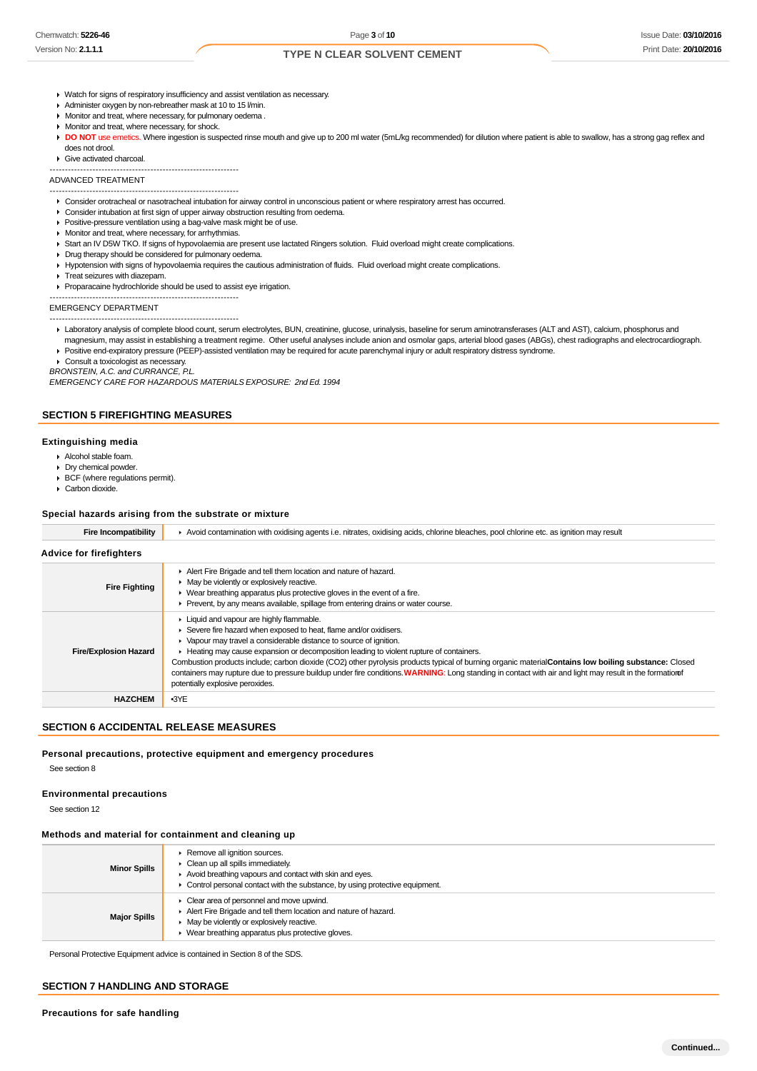### Issue Date: **03/10/2016** Print Date: **20/10/2016**

# **TYPE N CLEAR SOLVENT CEMENT**

- Watch for signs of respiratory insufficiency and assist ventilation as necessary.
- Administer oxygen by non-rebreather mask at 10 to 15 l/min.
- Monitor and treat, where necessary, for pulmonary oedema .
- **Monitor and treat, where necessary, for shock.**
- DO NOT use emetics. Where ingestion is suspected rinse mouth and give up to 200 ml water (5mL/kg recommended) for dilution where patient is able to swallow, has a strong gag reflex and does not drool.
- Give activated charcoal.

--------------------------------------------------------------

#### ADVANCED TREATMENT

- -------------------------------------------------------------- Consider orotracheal or nasotracheal intubation for airway control in unconscious patient or where respiratory arrest has occurred.
- Consider intubation at first sign of upper airway obstruction resulting from oedema.
- **Positive-pressure ventilation using a bag-valve mask might be of use.**
- **Monitor and treat, where necessary, for arrhythmias.**
- Start an IV D5W TKO. If signs of hypovolaemia are present use lactated Ringers solution. Fluid overload might create complications.
- Drug therapy should be considered for pulmonary oedema.
- Hypotension with signs of hypovolaemia requires the cautious administration of fluids. Fluid overload might create complications.
- **F** Treat seizures with diazepam.
- Proparacaine hydrochloride should be used to assist eye irrigation.

#### -------------------------------------------------------------- EMERGENCY DEPARTMENT

--------------------------------------------------------------

- Laboratory analysis of complete blood count, serum electrolytes, BUN, creatinine, glucose, urinalysis, baseline for serum aminotransferases (ALT and AST), calcium, phosphorus and
- magnesium, may assist in establishing a treatment regime. Other useful analyses include anion and osmolar gaps, arterial blood gases (ABGs), chest radiographs and electrocardiograph. Positive end-expiratory pressure (PEEP)-assisted ventilation may be required for acute parenchymal injury or adult respiratory distress syndrome.
- ▶ Consult a toxicologist as necessary.
- BRONSTEIN, A.C. and CURRANCE, P.L.

EMERGENCY CARE FOR HAZARDOUS MATERIALS EXPOSURE: 2nd Ed. 1994

### **SECTION 5 FIREFIGHTING MEASURES**

#### **Extinguishing media**

- Alcohol stable foam.
- Dry chemical powder.
- ▶ BCF (where regulations permit).
- Carbon dioxide.

#### **Special hazards arising from the substrate or mixture**

| <b>Fire Incompatibility</b>    | Avoid contamination with oxidising agents i.e. nitrates, oxidising acids, chlorine bleaches, pool chlorine etc. as ignition may result                                                                                                                                                                                                                                                                                                                                                                                                                                                                                                    |  |  |
|--------------------------------|-------------------------------------------------------------------------------------------------------------------------------------------------------------------------------------------------------------------------------------------------------------------------------------------------------------------------------------------------------------------------------------------------------------------------------------------------------------------------------------------------------------------------------------------------------------------------------------------------------------------------------------------|--|--|
| <b>Advice for firefighters</b> |                                                                                                                                                                                                                                                                                                                                                                                                                                                                                                                                                                                                                                           |  |  |
| <b>Fire Fighting</b>           | Alert Fire Brigade and tell them location and nature of hazard.<br>$\triangleright$ May be violently or explosively reactive.<br>► Wear breathing apparatus plus protective gloves in the event of a fire.<br>Prevent, by any means available, spillage from entering drains or water course.                                                                                                                                                                                                                                                                                                                                             |  |  |
| <b>Fire/Explosion Hazard</b>   | Liquid and vapour are highly flammable.<br>▶ Severe fire hazard when exposed to heat, flame and/or oxidisers.<br>• Vapour may travel a considerable distance to source of ignition.<br>► Heating may cause expansion or decomposition leading to violent rupture of containers.<br>Combustion products include; carbon dioxide (CO2) other pyrolysis products typical of burning organic material Contains low boiling substance: Closed<br>containers may rupture due to pressure buildup under fire conditions. WARNING: Long standing in contact with air and light may result in the formation of<br>potentially explosive peroxides. |  |  |
| <b>HAZCHEM</b>                 | $-3YE$                                                                                                                                                                                                                                                                                                                                                                                                                                                                                                                                                                                                                                    |  |  |

### **SECTION 6 ACCIDENTAL RELEASE MEASURES**

# **Personal precautions, protective equipment and emergency procedures**

See section 8

### **Environmental precautions**

See section 12

#### **Methods and material for containment and cleaning up**

| <b>Minor Spills</b> | Remove all ignition sources.<br>$\triangleright$ Clean up all spills immediately.<br>Avoid breathing vapours and contact with skin and eyes.<br>$\triangleright$ Control personal contact with the substance, by using protective equipment. |
|---------------------|----------------------------------------------------------------------------------------------------------------------------------------------------------------------------------------------------------------------------------------------|
| <b>Major Spills</b> | • Clear area of personnel and move upwind.<br>Alert Fire Brigade and tell them location and nature of hazard.<br>$\blacktriangleright$ May be violently or explosively reactive.<br>• Wear breathing apparatus plus protective gloves.       |

Personal Protective Equipment advice is contained in Section 8 of the SDS.

#### **SECTION 7 HANDLING AND STORAGE**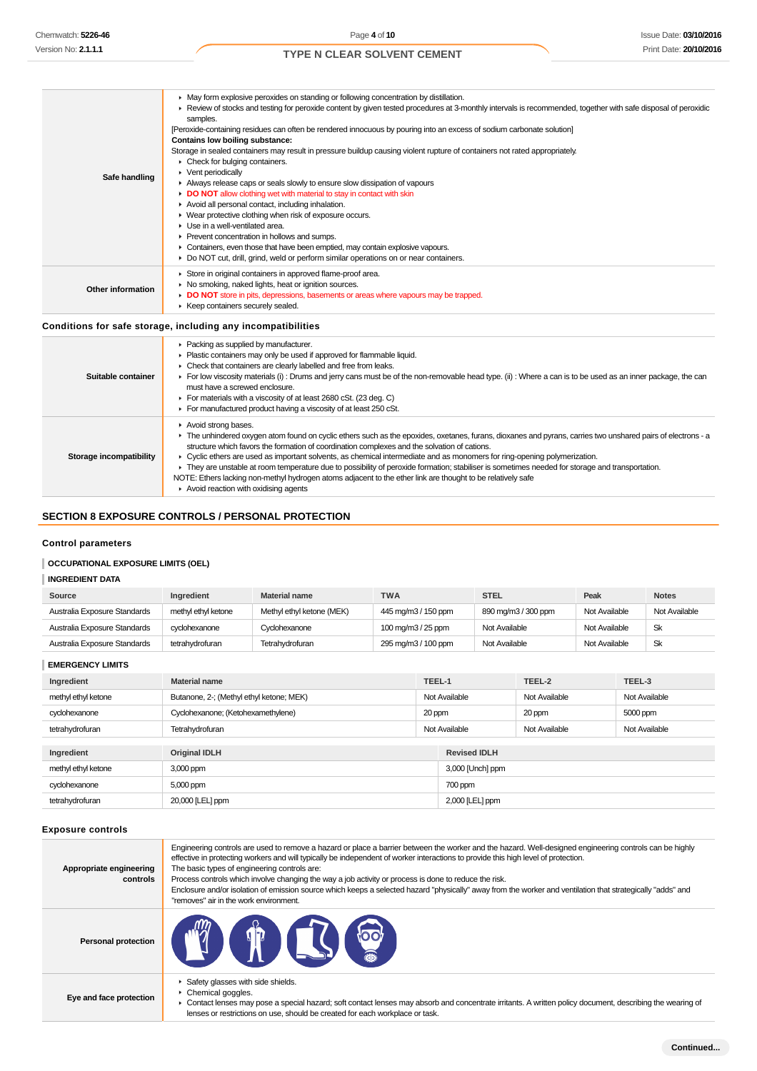| Safe handling     | • May form explosive peroxides on standing or following concentration by distillation.<br>► Review of stocks and testing for peroxide content by given tested procedures at 3-monthly intervals is recommended, together with safe disposal of peroxidic<br>samples.<br>[Peroxide-containing residues can often be rendered innocuous by pouring into an excess of sodium carbonate solution]<br>Contains low boiling substance:<br>Storage in sealed containers may result in pressure buildup causing violent rupture of containers not rated appropriately.<br>• Check for bulging containers.<br>$\triangleright$ Vent periodically<br>Always release caps or seals slowly to ensure slow dissipation of vapours<br>DO NOT allow clothing wet with material to stay in contact with skin<br>Avoid all personal contact, including inhalation.<br>• Wear protective clothing when risk of exposure occurs.<br>$\blacktriangleright$ Use in a well-ventilated area.<br>▶ Prevent concentration in hollows and sumps.<br>• Containers, even those that have been emptied, may contain explosive vapours.<br>► Do NOT cut, drill, grind, weld or perform similar operations on or near containers. |
|-------------------|----------------------------------------------------------------------------------------------------------------------------------------------------------------------------------------------------------------------------------------------------------------------------------------------------------------------------------------------------------------------------------------------------------------------------------------------------------------------------------------------------------------------------------------------------------------------------------------------------------------------------------------------------------------------------------------------------------------------------------------------------------------------------------------------------------------------------------------------------------------------------------------------------------------------------------------------------------------------------------------------------------------------------------------------------------------------------------------------------------------------------------------------------------------------------------------------------|
| Other information | Store in original containers in approved flame-proof area.<br>• No smoking, naked lights, heat or ignition sources.<br>DO NOT store in pits, depressions, basements or areas where vapours may be trapped.<br>▶ Keep containers securely sealed.                                                                                                                                                                                                                                                                                                                                                                                                                                                                                                                                                                                                                                                                                                                                                                                                                                                                                                                                                   |
|                   | Conditions for safe storage, including any incompatibilities                                                                                                                                                                                                                                                                                                                                                                                                                                                                                                                                                                                                                                                                                                                                                                                                                                                                                                                                                                                                                                                                                                                                       |
|                   | • Packing as supplied by manufacturer.                                                                                                                                                                                                                                                                                                                                                                                                                                                                                                                                                                                                                                                                                                                                                                                                                                                                                                                                                                                                                                                                                                                                                             |

|                         | $\blacktriangleright$ Plastic containers may only be used if approved for flammable liquid.                                                                  |
|-------------------------|--------------------------------------------------------------------------------------------------------------------------------------------------------------|
|                         | • Check that containers are clearly labelled and free from leaks.                                                                                            |
| Suitable container      | For low viscosity materials (i): Drums and jerry cans must be of the non-removable head type. (ii): Where a can is to be used as an inner package, the can   |
|                         | must have a screwed enclosure.                                                                                                                               |
|                         | For materials with a viscosity of at least 2680 cSt. (23 deg. C)                                                                                             |
|                         | For manufactured product having a viscosity of at least 250 cSt.                                                                                             |
|                         | Avoid strong bases.                                                                                                                                          |
|                         | F The unhindered oxygen atom found on cyclic ethers such as the epoxides, oxetanes, furans, dioxanes and pyrans, carries two unshared pairs of electrons - a |
|                         | structure which favors the formation of coordination complexes and the solvation of cations.                                                                 |
| Storage incompatibility | ► Cyclic ethers are used as important solvents, as chemical intermediate and as monomers for ring-opening polymerization.                                    |
|                         | • They are unstable at room temperature due to possibility of peroxide formation; stabiliser is sometimes needed for storage and transportation.             |
|                         | NOTE: Ethers lacking non-methyl hydrogen atoms adjacent to the ether link are thought to be relatively safe                                                  |
|                         | $\blacktriangleright$ Avoid reaction with oxidising agents                                                                                                   |

# **SECTION 8 EXPOSURE CONTROLS / PERSONAL PROTECTION**

# **Control parameters**

# **OCCUPATIONAL EXPOSURE LIMITS (OEL)**

# **INGREDIENT DATA**

| Source                       | <b>Ingredient</b>   | <b>Material name</b>      | <b>TWA</b>          | <b>STEL</b>         | Peak          | <b>Notes</b>  |
|------------------------------|---------------------|---------------------------|---------------------|---------------------|---------------|---------------|
| Australia Exposure Standards | methyl ethyl ketone | Methyl ethyl ketone (MEK) | 445 mg/m3 / 150 ppm | 890 mg/m3 / 300 ppm | Not Available | Not Available |
| Australia Exposure Standards | cyclohexanone       | Cyclohexanone             | 100 mg/m3 / 25 ppm  | Not Available       | Not Available | Sk            |
| Australia Exposure Standards | tetrahydrofuran     | Tetrahydrofuran           | 295 mg/m3 / 100 ppm | Not Available       | Not Available | Sk            |

**EMERGENCY LIMITS**

| Ingredient          | <b>Material name</b>                         | TEEL-1        |                     | TEEL-2        | TEEL-3        |
|---------------------|----------------------------------------------|---------------|---------------------|---------------|---------------|
| methyl ethyl ketone | Butanone, 2-; (Methyl ethyl ketone; MEK)     | Not Available |                     | Not Available | Not Available |
| cyclohexanone       | Cyclohexanone; (Ketohexamethylene)<br>20 ppm |               |                     | 20 ppm        | 5000 ppm      |
| tetrahydrofuran     | Tetrahydrofuran                              | Not Available |                     | Not Available | Not Available |
|                     |                                              |               |                     |               |               |
| Ingredient          | <b>Original IDLH</b>                         |               | <b>Revised IDLH</b> |               |               |
| methyl ethyl ketone | 3,000 ppm                                    |               | 3,000 [Unch] ppm    |               |               |
| cyclohexanone       | 5,000 ppm                                    |               | 700 ppm             |               |               |
| tetrahydrofuran     | 20,000 [LEL] ppm                             |               | 2,000 [LEL] ppm     |               |               |

# **Exposure controls**

| Appropriate engineering<br>controls | Engineering controls are used to remove a hazard or place a barrier between the worker and the hazard. Well-designed engineering controls can be highly<br>effective in protecting workers and will typically be independent of worker interactions to provide this high level of protection.<br>The basic types of engineering controls are:<br>Process controls which involve changing the way a job activity or process is done to reduce the risk.<br>Enclosure and/or isolation of emission source which keeps a selected hazard "physically" away from the worker and ventilation that strategically "adds" and<br>"removes" air in the work environment. |
|-------------------------------------|-----------------------------------------------------------------------------------------------------------------------------------------------------------------------------------------------------------------------------------------------------------------------------------------------------------------------------------------------------------------------------------------------------------------------------------------------------------------------------------------------------------------------------------------------------------------------------------------------------------------------------------------------------------------|
| <b>Personal protection</b>          | <b>TO CHOOSE</b>                                                                                                                                                                                                                                                                                                                                                                                                                                                                                                                                                                                                                                                |
| Eye and face protection             | Safety glasses with side shields.<br>▶ Chemical goggles.<br>• Contact lenses may pose a special hazard; soft contact lenses may absorb and concentrate irritants. A written policy document, describing the wearing of<br>lenses or restrictions on use, should be created for each workplace or task.                                                                                                                                                                                                                                                                                                                                                          |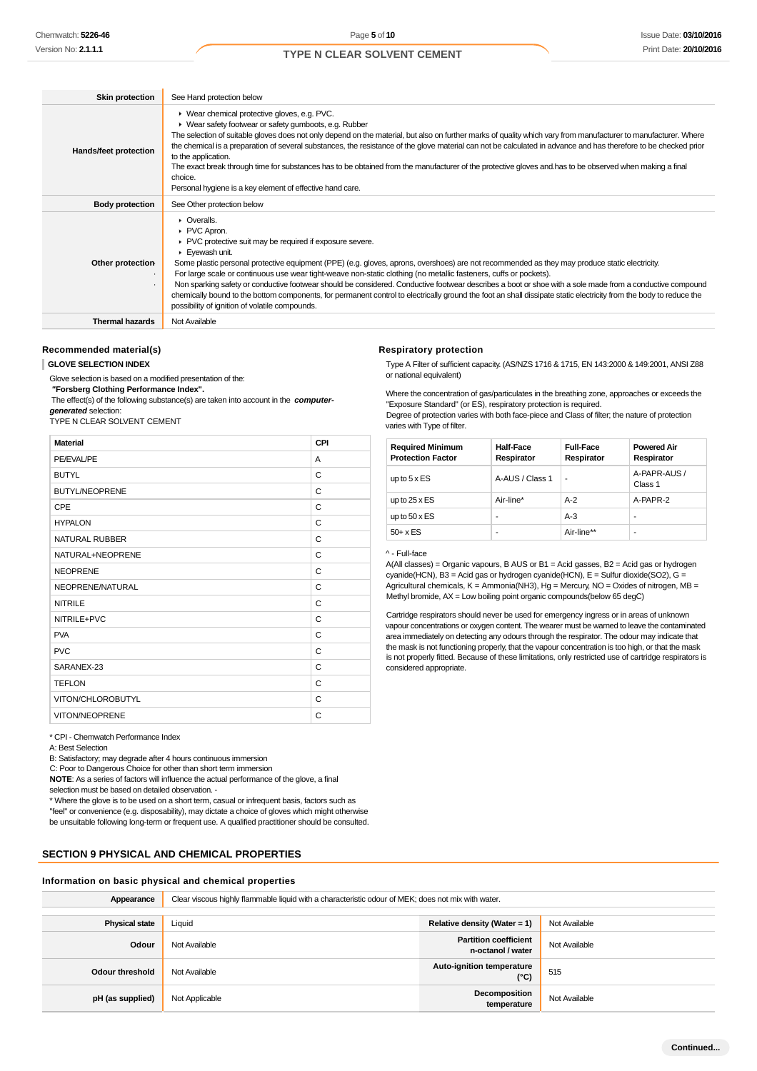| <b>Skin protection</b>       | See Hand protection below                                                                                                                                                                                                                                                                                                                                                                                                                                                                                                                                                                                                                                                                                                                                          |
|------------------------------|--------------------------------------------------------------------------------------------------------------------------------------------------------------------------------------------------------------------------------------------------------------------------------------------------------------------------------------------------------------------------------------------------------------------------------------------------------------------------------------------------------------------------------------------------------------------------------------------------------------------------------------------------------------------------------------------------------------------------------------------------------------------|
| Hands/feet protection        | ▶ Wear chemical protective gloves, e.g. PVC.<br>▶ Wear safety footwear or safety gumboots, e.g. Rubber<br>The selection of suitable gloves does not only depend on the material, but also on further marks of quality which vary from manufacturer to manufacturer. Where<br>the chemical is a preparation of several substances, the resistance of the glove material can not be calculated in advance and has therefore to be checked prior<br>to the application.<br>The exact break through time for substances has to be obtained from the manufacturer of the protective gloves and has to be observed when making a final<br>choice.<br>Personal hygiene is a key element of effective hand care.                                                           |
| <b>Body protection</b>       | See Other protection below                                                                                                                                                                                                                                                                                                                                                                                                                                                                                                                                                                                                                                                                                                                                         |
| Other protection-<br>$\cdot$ | • Overalls.<br>PVC Apron.<br>▶ PVC protective suit may be required if exposure severe.<br>Eyewash unit.<br>Some plastic personal protective equipment (PPE) (e.g. gloves, aprons, overshoes) are not recommended as they may produce static electricity.<br>For large scale or continuous use wear tight-weave non-static clothing (no metallic fasteners, cuffs or pockets).<br>Non sparking safety or conductive footwear should be considered. Conductive footwear describes a boot or shoe with a sole made from a conductive compound<br>chemically bound to the bottom components, for permanent control to electrically ground the foot an shall dissipate static electricity from the body to reduce the<br>possibility of ignition of volatile compounds. |
| <b>Thermal hazards</b>       | Not Available                                                                                                                                                                                                                                                                                                                                                                                                                                                                                                                                                                                                                                                                                                                                                      |

#### **Recommended material(s)**

#### **GLOVE SELECTION INDEX**

Glove selection is based on a modified presentation of the:

n.

 **"Forsberg Clothing Performance Index".**

 The effect(s) of the following substance(s) are taken into account in the **computergenerated** selection:

TYPE N CLEAR SOLVENT CEMENT

|  |  | ___ |  |  |
|--|--|-----|--|--|
|  |  |     |  |  |
|  |  |     |  |  |
|  |  |     |  |  |

| <b>Material</b>       | CPI |
|-----------------------|-----|
| PE/EVAL/PE            | A   |
| <b>BUTYL</b>          | C   |
| <b>BUTYL/NEOPRENE</b> | C   |
| CPE                   | C   |
| <b>HYPALON</b>        | C   |
| <b>NATURAL RUBBER</b> | C   |
| NATURAL+NEOPRENE      | C   |
| <b>NEOPRENE</b>       | C   |
| NEOPRENE/NATURAL      | C   |
| <b>NITRILE</b>        | C   |
| NITRILE+PVC           | C   |
| <b>PVA</b>            | C   |
| <b>PVC</b>            | C   |
| SARANEX-23            | C   |
| <b>TEFLON</b>         | C   |
| VITON/CHLOROBUTYL     | C   |
| VITON/NEOPRENE        | C   |

#### \* CPI - Chemwatch Performance Index

A: Best Selection

B: Satisfactory; may degrade after 4 hours continuous immersion

C: Poor to Dangerous Choice for other than short term immersion

**NOTE**: As a series of factors will influence the actual performance of the glove, a final selection must be based on detailed observation -

\* Where the glove is to be used on a short term, casual or infrequent basis, factors such as "feel" or convenience (e.g. disposability), may dictate a choice of gloves which might otherwise be unsuitable following long-term or frequent use. A qualified practitioner should be consulted.

# **SECTION 9 PHYSICAL AND CHEMICAL PROPERTIES**

### **Information on basic physical and chemical properties**

| Appearance            | Clear viscous highly flammable liquid with a characteristic odour of MEK; does not mix with water. |                                                   |               |
|-----------------------|----------------------------------------------------------------------------------------------------|---------------------------------------------------|---------------|
|                       |                                                                                                    |                                                   |               |
| <b>Physical state</b> | Liquid                                                                                             | Relative density (Water = 1)                      | Not Available |
| Odour                 | Not Available                                                                                      | <b>Partition coefficient</b><br>n-octanol / water | Not Available |
| Odour threshold       | Not Available                                                                                      | Auto-ignition temperature<br>$(^{\circ}C)$        | 515           |
| pH (as supplied)      | Not Applicable                                                                                     | Decomposition<br>temperature                      | Not Available |

#### **Respiratory protection**

Type A Filter of sufficient capacity. (AS/NZS 1716 & 1715, EN 143:2000 & 149:2001, ANSI Z88 or national equivalent)

Where the concentration of gas/particulates in the breathing zone, approaches or exceeds the "Exposure Standard" (or ES), respiratory protection is required.

Degree of protection varies with both face-piece and Class of filter; the nature of protection varies with Type of filter.

| <b>Required Minimum</b><br><b>Protection Factor</b> | <b>Half-Face</b><br>Respirator | <b>Full-Face</b><br>Respirator | <b>Powered Air</b><br>Respirator |
|-----------------------------------------------------|--------------------------------|--------------------------------|----------------------------------|
| up to $5 \times ES$                                 | A-AUS / Class 1                | ۰                              | A-PAPR-AUS /<br>Class 1          |
| up to $25 \times ES$                                | Air-line*                      | $A-2$                          | A-PAPR-2                         |
| up to $50 \times ES$                                |                                | $A-3$                          | ۰                                |
| $50+ x ES$                                          |                                | Air-line**                     | ۰                                |

#### ^ - Full-face

A(All classes) = Organic vapours, B AUS or B1 = Acid gasses, B2 = Acid gas or hydrogen  $cyanide(HCN)$ , B3 = Acid gas or hydrogen cyanide(HCN), E = Sulfur dioxide(SO2), G = Agricultural chemicals,  $K =$  Ammonia(NH3), Hg = Mercury, NO = Oxides of nitrogen, MB = Methyl bromide, AX = Low boiling point organic compounds(below 65 degC)

Cartridge respirators should never be used for emergency ingress or in areas of unknown vapour concentrations or oxygen content. The wearer must be warned to leave the contaminated area immediately on detecting any odours through the respirator. The odour may indicate that the mask is not functioning properly, that the vapour concentration is too high, or that the mask is not properly fitted. Because of these limitations, only restricted use of cartridge respirators is considered appropriate.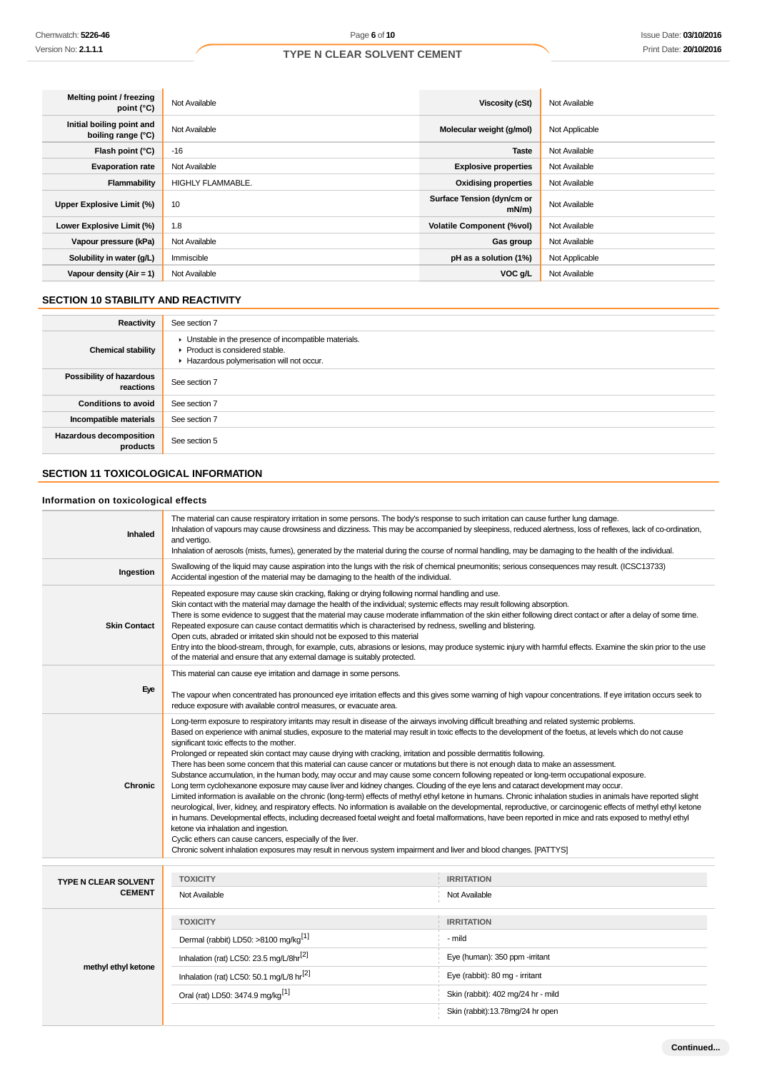| Melting point / freezing<br>point (°C)          | Not Available            | Viscosity (cSt)                        | Not Available  |
|-------------------------------------------------|--------------------------|----------------------------------------|----------------|
| Initial boiling point and<br>boiling range (°C) | Not Available            | Molecular weight (g/mol)               | Not Applicable |
| Flash point (°C)                                | $-16$                    | <b>Taste</b>                           | Not Available  |
| <b>Evaporation rate</b>                         | Not Available            | <b>Explosive properties</b>            | Not Available  |
| Flammability                                    | <b>HIGHLY FLAMMABLE.</b> | <b>Oxidising properties</b>            | Not Available  |
| <b>Upper Explosive Limit (%)</b>                | 10                       | Surface Tension (dyn/cm or<br>$mN/m$ ) | Not Available  |
| Lower Explosive Limit (%)                       | 1.8                      | <b>Volatile Component (%vol)</b>       | Not Available  |
| Vapour pressure (kPa)                           | Not Available            | Gas group                              | Not Available  |
| Solubility in water (q/L)                       | Immiscible               | pH as a solution (1%)                  | Not Applicable |
| Vapour density $(Air = 1)$                      | Not Available            | VOC g/L                                | Not Available  |

# **SECTION 10 STABILITY AND REACTIVITY**

 $\overline{1}$ 

| Reactivity                                 | See section 7                                                                                                                      |
|--------------------------------------------|------------------------------------------------------------------------------------------------------------------------------------|
| <b>Chemical stability</b>                  | Unstable in the presence of incompatible materials.<br>▶ Product is considered stable.<br>Hazardous polymerisation will not occur. |
| Possibility of hazardous<br>reactions      | See section 7                                                                                                                      |
| <b>Conditions to avoid</b>                 | See section 7                                                                                                                      |
| Incompatible materials                     | See section 7                                                                                                                      |
| <b>Hazardous decomposition</b><br>products | See section 5                                                                                                                      |

# **SECTION 11 TOXICOLOGICAL INFORMATION**

# **Information on toxicological effects**

| <b>Inhaled</b>                               | The material can cause respiratory irritation in some persons. The body's response to such irritation can cause further lung damage.<br>Inhalation of vapours may cause drowsiness and dizziness. This may be accompanied by sleepiness, reduced alertness, loss of reflexes, lack of co-ordination,<br>and vertigo.<br>Inhalation of aerosols (mists, fumes), generated by the material during the course of normal handling, may be damaging to the health of the individual.                                                                                                                                                                                                                                                                                                                                                                                                                                                                                                                                                                                                                                                                                                                                                                                                                                                                                                                                                                                                                                                                                                                                                      |                                    |  |  |
|----------------------------------------------|--------------------------------------------------------------------------------------------------------------------------------------------------------------------------------------------------------------------------------------------------------------------------------------------------------------------------------------------------------------------------------------------------------------------------------------------------------------------------------------------------------------------------------------------------------------------------------------------------------------------------------------------------------------------------------------------------------------------------------------------------------------------------------------------------------------------------------------------------------------------------------------------------------------------------------------------------------------------------------------------------------------------------------------------------------------------------------------------------------------------------------------------------------------------------------------------------------------------------------------------------------------------------------------------------------------------------------------------------------------------------------------------------------------------------------------------------------------------------------------------------------------------------------------------------------------------------------------------------------------------------------------|------------------------------------|--|--|
| Ingestion                                    | Swallowing of the liquid may cause aspiration into the lungs with the risk of chemical pneumonitis; serious consequences may result. (ICSC13733)<br>Accidental ingestion of the material may be damaging to the health of the individual.                                                                                                                                                                                                                                                                                                                                                                                                                                                                                                                                                                                                                                                                                                                                                                                                                                                                                                                                                                                                                                                                                                                                                                                                                                                                                                                                                                                            |                                    |  |  |
| <b>Skin Contact</b>                          | Repeated exposure may cause skin cracking, flaking or drying following normal handling and use.<br>Skin contact with the material may damage the health of the individual; systemic effects may result following absorption.<br>There is some evidence to suggest that the material may cause moderate inflammation of the skin either following direct contact or after a delay of some time.<br>Repeated exposure can cause contact dermatitis which is characterised by redness, swelling and blistering.<br>Open cuts, abraded or irritated skin should not be exposed to this material<br>Entry into the blood-stream, through, for example, cuts, abrasions or lesions, may produce systemic injury with harmful effects. Examine the skin prior to the use<br>of the material and ensure that any external damage is suitably protected.                                                                                                                                                                                                                                                                                                                                                                                                                                                                                                                                                                                                                                                                                                                                                                                      |                                    |  |  |
| Eye                                          | This material can cause eye irritation and damage in some persons.<br>The vapour when concentrated has pronounced eye irritation effects and this gives some warning of high vapour concentrations. If eye irritation occurs seek to<br>reduce exposure with available control measures, or evacuate area.                                                                                                                                                                                                                                                                                                                                                                                                                                                                                                                                                                                                                                                                                                                                                                                                                                                                                                                                                                                                                                                                                                                                                                                                                                                                                                                           |                                    |  |  |
| Chronic                                      | Long-term exposure to respiratory irritants may result in disease of the airways involving difficult breathing and related systemic problems.<br>Based on experience with animal studies, exposure to the material may result in toxic effects to the development of the foetus, at levels which do not cause<br>significant toxic effects to the mother.<br>Prolonged or repeated skin contact may cause drying with cracking, irritation and possible dermatitis following.<br>There has been some concern that this material can cause cancer or mutations but there is not enough data to make an assessment.<br>Substance accumulation, in the human body, may occur and may cause some concern following repeated or long-term occupational exposure.<br>Long term cyclohexanone exposure may cause liver and kidney changes. Clouding of the eye lens and cataract development may occur.<br>Limited information is available on the chronic (long-term) effects of methyl ethyl ketone in humans. Chronic inhalation studies in animals have reported slight<br>neurological, liver, kidney, and respiratory effects. No information is available on the developmental, reproductive, or carcinogenic effects of methyl ethyl ketone<br>in humans. Developmental effects, including decreased foetal weight and foetal malformations, have been reported in mice and rats exposed to methyl ethyl<br>ketone via inhalation and ingestion.<br>Cyclic ethers can cause cancers, especially of the liver.<br>Chronic solvent inhalation exposures may result in nervous system impairment and liver and blood changes. [PATTYS] |                                    |  |  |
|                                              | <b>TOXICITY</b>                                                                                                                                                                                                                                                                                                                                                                                                                                                                                                                                                                                                                                                                                                                                                                                                                                                                                                                                                                                                                                                                                                                                                                                                                                                                                                                                                                                                                                                                                                                                                                                                                      | <b>IRRITATION</b>                  |  |  |
| <b>TYPE N CLEAR SOLVENT</b><br><b>CEMENT</b> | Not Available                                                                                                                                                                                                                                                                                                                                                                                                                                                                                                                                                                                                                                                                                                                                                                                                                                                                                                                                                                                                                                                                                                                                                                                                                                                                                                                                                                                                                                                                                                                                                                                                                        | Not Available                      |  |  |
|                                              | <b>TOXICITY</b>                                                                                                                                                                                                                                                                                                                                                                                                                                                                                                                                                                                                                                                                                                                                                                                                                                                                                                                                                                                                                                                                                                                                                                                                                                                                                                                                                                                                                                                                                                                                                                                                                      | <b>IRRITATION</b>                  |  |  |
|                                              | Dermal (rabbit) LD50: >8100 mg/kg <sup>[1]</sup>                                                                                                                                                                                                                                                                                                                                                                                                                                                                                                                                                                                                                                                                                                                                                                                                                                                                                                                                                                                                                                                                                                                                                                                                                                                                                                                                                                                                                                                                                                                                                                                     | - mild                             |  |  |
| methyl ethyl ketone                          | Inhalation (rat) LC50: 23.5 mg/L/8hr <sup>[2]</sup>                                                                                                                                                                                                                                                                                                                                                                                                                                                                                                                                                                                                                                                                                                                                                                                                                                                                                                                                                                                                                                                                                                                                                                                                                                                                                                                                                                                                                                                                                                                                                                                  | Eye (human): 350 ppm -irritant     |  |  |
|                                              | Inhalation (rat) LC50: 50.1 mg/L/8 hr <sup>[2]</sup>                                                                                                                                                                                                                                                                                                                                                                                                                                                                                                                                                                                                                                                                                                                                                                                                                                                                                                                                                                                                                                                                                                                                                                                                                                                                                                                                                                                                                                                                                                                                                                                 | Eye (rabbit): 80 mg - irritant     |  |  |
|                                              | Oral (rat) LD50: 3474.9 mg/kg <sup>[1]</sup>                                                                                                                                                                                                                                                                                                                                                                                                                                                                                                                                                                                                                                                                                                                                                                                                                                                                                                                                                                                                                                                                                                                                                                                                                                                                                                                                                                                                                                                                                                                                                                                         | Skin (rabbit): 402 mg/24 hr - mild |  |  |
|                                              |                                                                                                                                                                                                                                                                                                                                                                                                                                                                                                                                                                                                                                                                                                                                                                                                                                                                                                                                                                                                                                                                                                                                                                                                                                                                                                                                                                                                                                                                                                                                                                                                                                      | Skin (rabbit):13.78mg/24 hr open   |  |  |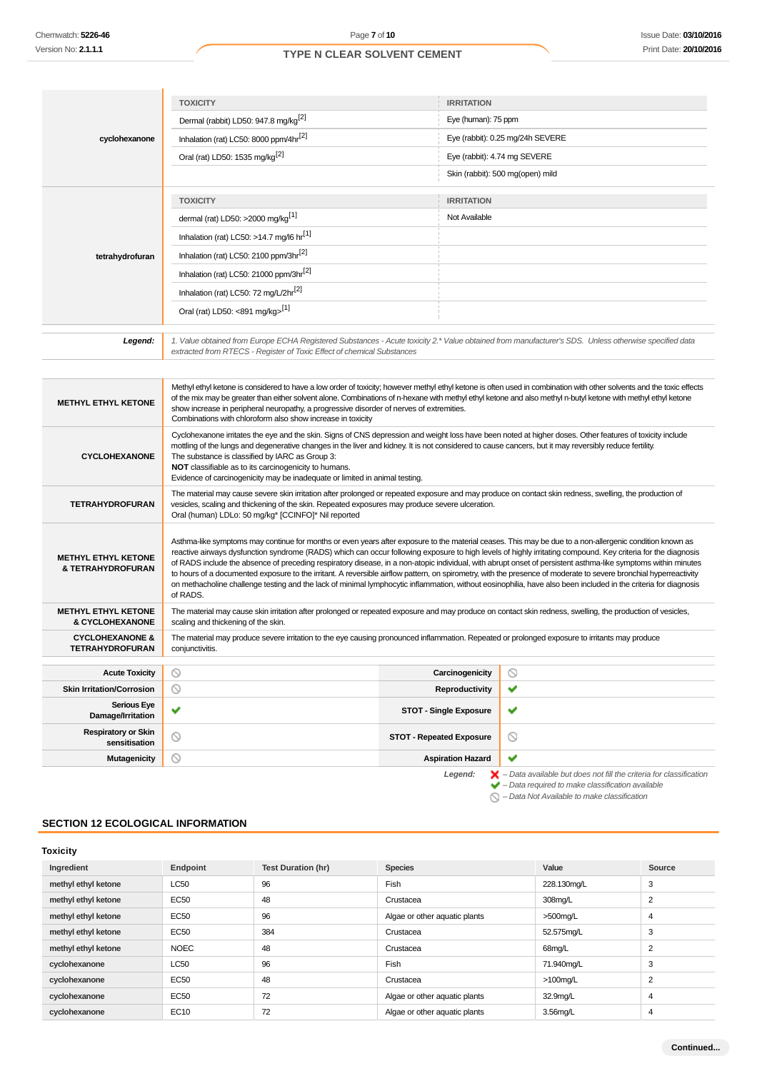|                                                          | <b>TOXICITY</b>                                                                                                                                                                                                                                                                                                                                                                                                                                                                                                                                                                                                                                                                                                                                                                                                                               | <b>IRRITATION</b>                                                                                                                                                             |  |  |
|----------------------------------------------------------|-----------------------------------------------------------------------------------------------------------------------------------------------------------------------------------------------------------------------------------------------------------------------------------------------------------------------------------------------------------------------------------------------------------------------------------------------------------------------------------------------------------------------------------------------------------------------------------------------------------------------------------------------------------------------------------------------------------------------------------------------------------------------------------------------------------------------------------------------|-------------------------------------------------------------------------------------------------------------------------------------------------------------------------------|--|--|
|                                                          | Dermal (rabbit) LD50: 947.8 mg/kg <sup>[2]</sup>                                                                                                                                                                                                                                                                                                                                                                                                                                                                                                                                                                                                                                                                                                                                                                                              | Eye (human): 75 ppm                                                                                                                                                           |  |  |
| cyclohexanone                                            | Inhalation (rat) LC50: 8000 ppm/4hr <sup>[2]</sup>                                                                                                                                                                                                                                                                                                                                                                                                                                                                                                                                                                                                                                                                                                                                                                                            | Eye (rabbit): 0.25 mg/24h SEVERE                                                                                                                                              |  |  |
|                                                          | Oral (rat) LD50: 1535 mg/kg <sup>[2]</sup>                                                                                                                                                                                                                                                                                                                                                                                                                                                                                                                                                                                                                                                                                                                                                                                                    | Eye (rabbit): 4.74 mg SEVERE                                                                                                                                                  |  |  |
|                                                          |                                                                                                                                                                                                                                                                                                                                                                                                                                                                                                                                                                                                                                                                                                                                                                                                                                               | Skin (rabbit): 500 mg(open) mild                                                                                                                                              |  |  |
|                                                          | <b>TOXICITY</b>                                                                                                                                                                                                                                                                                                                                                                                                                                                                                                                                                                                                                                                                                                                                                                                                                               | <b>IRRITATION</b>                                                                                                                                                             |  |  |
|                                                          | dermal (rat) LD50: >2000 mg/kg <sup>[1]</sup>                                                                                                                                                                                                                                                                                                                                                                                                                                                                                                                                                                                                                                                                                                                                                                                                 | Not Available                                                                                                                                                                 |  |  |
|                                                          | Inhalation (rat) LC50: >14.7 mg/l6 hr <sup>[1]</sup>                                                                                                                                                                                                                                                                                                                                                                                                                                                                                                                                                                                                                                                                                                                                                                                          |                                                                                                                                                                               |  |  |
| tetrahydrofuran                                          | Inhalation (rat) LC50: 2100 ppm/3hr <sup>[2]</sup>                                                                                                                                                                                                                                                                                                                                                                                                                                                                                                                                                                                                                                                                                                                                                                                            |                                                                                                                                                                               |  |  |
|                                                          | Inhalation (rat) LC50: 21000 ppm/3hr <sup>[2]</sup>                                                                                                                                                                                                                                                                                                                                                                                                                                                                                                                                                                                                                                                                                                                                                                                           |                                                                                                                                                                               |  |  |
|                                                          | Inhalation (rat) LC50: 72 mg/L/2hr <sup>[2]</sup>                                                                                                                                                                                                                                                                                                                                                                                                                                                                                                                                                                                                                                                                                                                                                                                             |                                                                                                                                                                               |  |  |
|                                                          | Oral (rat) LD50: <891 mg/kg>[1]                                                                                                                                                                                                                                                                                                                                                                                                                                                                                                                                                                                                                                                                                                                                                                                                               |                                                                                                                                                                               |  |  |
|                                                          |                                                                                                                                                                                                                                                                                                                                                                                                                                                                                                                                                                                                                                                                                                                                                                                                                                               |                                                                                                                                                                               |  |  |
| Legend:                                                  | 1. Value obtained from Europe ECHA Registered Substances - Acute toxicity 2.* Value obtained from manufacturer's SDS. Unless otherwise specified data<br>extracted from RTECS - Register of Toxic Effect of chemical Substances                                                                                                                                                                                                                                                                                                                                                                                                                                                                                                                                                                                                               |                                                                                                                                                                               |  |  |
|                                                          |                                                                                                                                                                                                                                                                                                                                                                                                                                                                                                                                                                                                                                                                                                                                                                                                                                               |                                                                                                                                                                               |  |  |
| <b>METHYL ETHYL KETONE</b>                               | Methyl ethyl ketone is considered to have a low order of toxicity; however methyl ethyl ketone is often used in combination with other solvents and the toxic effects<br>of the mix may be greater than either solvent alone. Combinations of n-hexane with methyl ethyl ketone and also methyl n-butyl ketone with methyl ethyl ketone<br>show increase in peripheral neuropathy, a progressive disorder of nerves of extremities.<br>Combinations with chloroform also show increase in toxicity                                                                                                                                                                                                                                                                                                                                            |                                                                                                                                                                               |  |  |
| <b>CYCLOHEXANONE</b>                                     | Cyclohexanone irritates the eye and the skin. Signs of CNS depression and weight loss have been noted at higher doses. Other features of toxicity include<br>mottling of the lungs and degenerative changes in the liver and kidney. It is not considered to cause cancers, but it may reversibly reduce fertility.<br>The substance is classified by IARC as Group 3:<br>NOT classifiable as to its carcinogenicity to humans.<br>Evidence of carcinogenicity may be inadequate or limited in animal testing.                                                                                                                                                                                                                                                                                                                                |                                                                                                                                                                               |  |  |
| <b>TETRAHYDROFURAN</b>                                   | The material may cause severe skin irritation after prolonged or repeated exposure and may produce on contact skin redness, swelling, the production of<br>vesicles, scaling and thickening of the skin. Repeated exposures may produce severe ulceration.<br>Oral (human) LDLo: 50 mg/kg* [CCINFO]* Nil reported                                                                                                                                                                                                                                                                                                                                                                                                                                                                                                                             |                                                                                                                                                                               |  |  |
| <b>METHYL ETHYL KETONE</b><br>& TETRAHYDROFURAN          | Asthma-like symptoms may continue for months or even years after exposure to the material ceases. This may be due to a non-allergenic condition known as<br>reactive airways dysfunction syndrome (RADS) which can occur following exposure to high levels of highly irritating compound. Key criteria for the diagnosis<br>of RADS include the absence of preceding respiratory disease, in a non-atopic individual, with abrupt onset of persistent asthma-like symptoms within minutes<br>to hours of a documented exposure to the irritant. A reversible airflow pattern, on spirometry, with the presence of moderate to severe bronchial hyperreactivity<br>on methacholine challenge testing and the lack of minimal lymphocytic inflammation, without eosinophilia, have also been included in the criteria for diagnosis<br>of RADS. |                                                                                                                                                                               |  |  |
| <b>METHYL ETHYL KETONE</b><br><b>&amp; CYCLOHEXANONE</b> | The material may cause skin irritation after prolonged or repeated exposure and may produce on contact skin redness, swelling, the production of vesicles,<br>scaling and thickening of the skin.                                                                                                                                                                                                                                                                                                                                                                                                                                                                                                                                                                                                                                             |                                                                                                                                                                               |  |  |
| <b>CYCLOHEXANONE &amp;</b><br>TETRAHYDROFURAN            | The material may produce severe irritation to the eye causing pronounced inflammation. Repeated or prolonged exposure to irritants may produce<br>conjunctivitis.                                                                                                                                                                                                                                                                                                                                                                                                                                                                                                                                                                                                                                                                             |                                                                                                                                                                               |  |  |
| <b>Acute Toxicity</b>                                    | $\circledcirc$                                                                                                                                                                                                                                                                                                                                                                                                                                                                                                                                                                                                                                                                                                                                                                                                                                | $\circ$<br>Carcinogenicity                                                                                                                                                    |  |  |
| <b>Skin Irritation/Corrosion</b>                         | $\circledcirc$                                                                                                                                                                                                                                                                                                                                                                                                                                                                                                                                                                                                                                                                                                                                                                                                                                | ✔<br><b>Reproductivity</b>                                                                                                                                                    |  |  |
| <b>Serious Eye</b><br>Damage/Irritation                  | ✔<br><b>STOT - Single Exposure</b>                                                                                                                                                                                                                                                                                                                                                                                                                                                                                                                                                                                                                                                                                                                                                                                                            | ✔                                                                                                                                                                             |  |  |
| <b>Respiratory or Skin</b><br>sensitisation              | ⊙<br><b>STOT - Repeated Exposure</b>                                                                                                                                                                                                                                                                                                                                                                                                                                                                                                                                                                                                                                                                                                                                                                                                          | $\circ$                                                                                                                                                                       |  |  |
| <b>Mutagenicity</b>                                      | O                                                                                                                                                                                                                                                                                                                                                                                                                                                                                                                                                                                                                                                                                                                                                                                                                                             | ✔<br><b>Aspiration Hazard</b>                                                                                                                                                 |  |  |
|                                                          |                                                                                                                                                                                                                                                                                                                                                                                                                                                                                                                                                                                                                                                                                                                                                                                                                                               | $\blacktriangleright$ - Data available but does not fill the criteria for classification<br>Legend:<br>$\blacktriangleright$ - Data required to make classification available |  |  |

 $\bigcirc$  – Data Not Available to make classification

# **SECTION 12 ECOLOGICAL INFORMATION**

| <b>Toxicity</b>     |             |                           |                               |             |                |
|---------------------|-------------|---------------------------|-------------------------------|-------------|----------------|
| Ingredient          | Endpoint    | <b>Test Duration (hr)</b> | <b>Species</b>                | Value       | Source         |
| methyl ethyl ketone | LC50        | 96                        | Fish                          | 228.130mg/L | 3              |
| methyl ethyl ketone | EC50        | 48                        | Crustacea                     | 308mg/L     | 2              |
| methyl ethyl ketone | EC50        | 96                        | Algae or other aquatic plants | $>500$ mg/L | $\overline{4}$ |
| methyl ethyl ketone | <b>EC50</b> | 384                       | Crustacea                     | 52.575mg/L  | 3              |
| methyl ethyl ketone | <b>NOEC</b> | 48                        | Crustacea                     | 68mg/L      | 2              |
| cyclohexanone       | LC50        | 96                        | Fish                          | 71.940mg/L  | 3              |
| cyclohexanone       | EC50        | 48                        | Crustacea                     | $>100$ mg/L | 2              |
| cyclohexanone       | <b>EC50</b> | 72                        | Algae or other aquatic plants | 32.9mg/L    | $\overline{4}$ |
| cyclohexanone       | EC10        | 72                        | Algae or other aquatic plants | 3.56mg/L    | $\overline{4}$ |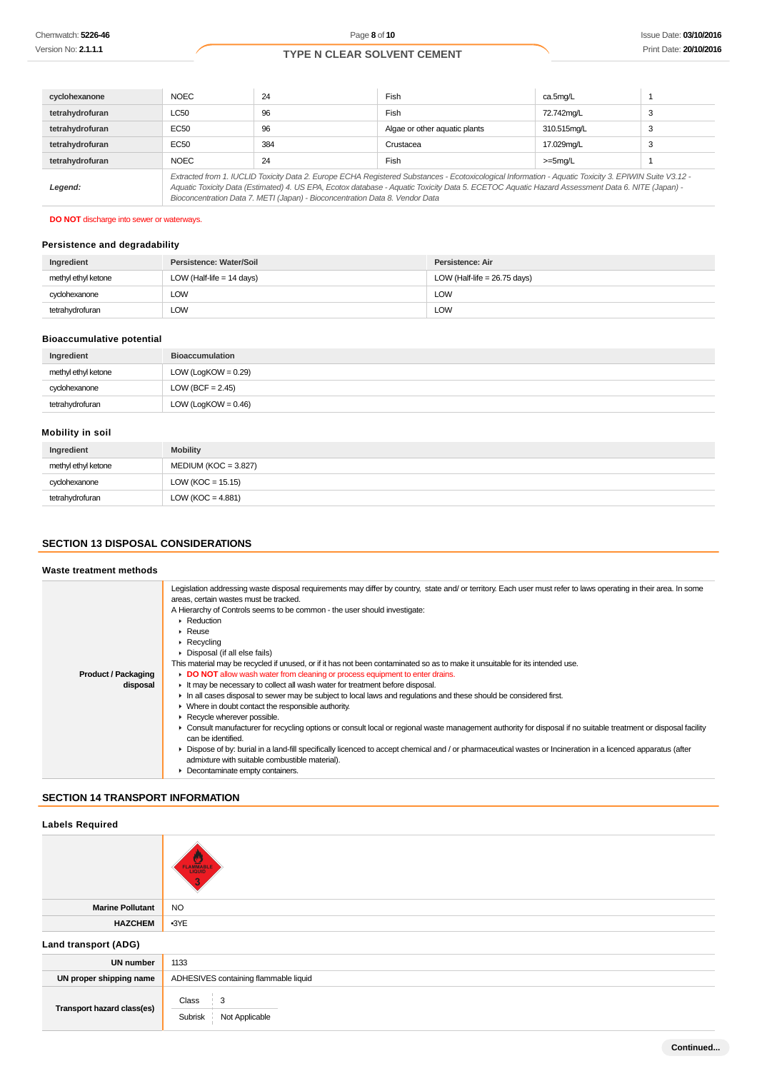| cyclohexanone   | <b>NOEC</b>                                                                                                                                                                                                                                                                                                                                                                              | 24  | Fish<br>ca.5mg/L              |             |   |
|-----------------|------------------------------------------------------------------------------------------------------------------------------------------------------------------------------------------------------------------------------------------------------------------------------------------------------------------------------------------------------------------------------------------|-----|-------------------------------|-------------|---|
| tetrahydrofuran | <b>LC50</b>                                                                                                                                                                                                                                                                                                                                                                              | 96  | Fish                          | 72.742mg/L  | 3 |
| tetrahydrofuran | EC50                                                                                                                                                                                                                                                                                                                                                                                     | 96  | Algae or other aguatic plants | 310.515mg/L | 3 |
| tetrahydrofuran | EC50                                                                                                                                                                                                                                                                                                                                                                                     | 384 | Crustacea                     | 17.029mg/L  | 3 |
| tetrahydrofuran | <b>NOEC</b>                                                                                                                                                                                                                                                                                                                                                                              | 24  | Fish                          | $>=5mg/L$   |   |
| Legend:         | Extracted from 1. IUCLID Toxicity Data 2. Europe ECHA Registered Substances - Ecotoxicological Information - Aquatic Toxicity 3. EPIWIN Suite V3.12 -<br>Aquatic Toxicity Data (Estimated) 4. US EPA, Ecotox database - Aquatic Toxicity Data 5. ECETOC Aquatic Hazard Assessment Data 6. NITE (Japan) -<br>Bioconcentration Data 7. METI (Japan) - Bioconcentration Data 8. Vendor Data |     |                               |             |   |

# **DO NOT** discharge into sewer or waterways.

# **Persistence and degradability**

| Ingredient          | Persistence: Water/Soil     | Persistence: Air               |
|---------------------|-----------------------------|--------------------------------|
| methyl ethyl ketone | LOW (Half-life $= 14$ days) | LOW (Half-life = $26.75$ days) |
| cyclohexanone       | <b>LOW</b>                  | LOW                            |
| tetrahydrofuran     | LOW                         | LOW                            |

### **Bioaccumulative potential**

| Ingredient          | <b>Bioaccumulation</b> |
|---------------------|------------------------|
| methyl ethyl ketone | $LOW (LogKOW = 0.29)$  |
| cyclohexanone       | LOW (BCF = $2.45$ )    |
| tetrahydrofuran     | $LOW (LogKOW = 0.46)$  |

# **Mobility in soil**

| Ingredient          | <b>Mobility</b>        |
|---------------------|------------------------|
| methyl ethyl ketone | $MEDIUM (KOC = 3.827)$ |
| cyclohexanone       | LOW ( $KOC = 15.15$ )  |
| tetrahydrofuran     | LOW ( $KOC = 4.881$ )  |

# **SECTION 13 DISPOSAL CONSIDERATIONS**

### **Waste treatment methods**

|                            | Legislation addressing waste disposal requirements may differ by country, state and/or territory. Each user must refer to laws operating in their area. In some<br>areas, certain wastes must be tracked. |
|----------------------------|-----------------------------------------------------------------------------------------------------------------------------------------------------------------------------------------------------------|
|                            | A Hierarchy of Controls seems to be common - the user should investigate:                                                                                                                                 |
|                            | $\blacktriangleright$ Reduction                                                                                                                                                                           |
|                            | $\blacktriangleright$ Reuse                                                                                                                                                                               |
|                            | $\triangleright$ Recycling                                                                                                                                                                                |
|                            | • Disposal (if all else fails)                                                                                                                                                                            |
|                            | This material may be recycled if unused, or if it has not been contaminated so as to make it unsuitable for its intended use.                                                                             |
| <b>Product / Packaging</b> | DO NOT allow wash water from cleaning or process equipment to enter drains.                                                                                                                               |
| disposal                   | It may be necessary to collect all wash water for treatment before disposal.                                                                                                                              |
|                            | In all cases disposal to sewer may be subject to local laws and regulations and these should be considered first.                                                                                         |
|                            | • Where in doubt contact the responsible authority.                                                                                                                                                       |
|                            | Recycle wherever possible.                                                                                                                                                                                |
|                            | • Consult manufacturer for recycling options or consult local or regional waste management authority for disposal if no suitable treatment or disposal facility                                           |
|                            | can be identified.                                                                                                                                                                                        |
|                            | ▶ Dispose of by: burial in a land-fill specifically licenced to accept chemical and / or pharmaceutical wastes or Incineration in a licenced apparatus (after                                             |
|                            | admixture with suitable combustible material).                                                                                                                                                            |
|                            | • Decontaminate empty containers.                                                                                                                                                                         |

# **SECTION 14 TRANSPORT INFORMATION**

| <b>Labels Required</b>     |                                                       |  |  |
|----------------------------|-------------------------------------------------------|--|--|
|                            | FLAMMABLE                                             |  |  |
| <b>Marine Pollutant</b>    | <b>NO</b>                                             |  |  |
| <b>HAZCHEM</b>             | $-3YE$                                                |  |  |
| Land transport (ADG)       |                                                       |  |  |
| <b>UN number</b>           | 1133                                                  |  |  |
| UN proper shipping name    | ADHESIVES containing flammable liquid                 |  |  |
| Transport hazard class(es) | Class<br>$\frac{1}{2}$ 3<br>Subrisk<br>Not Applicable |  |  |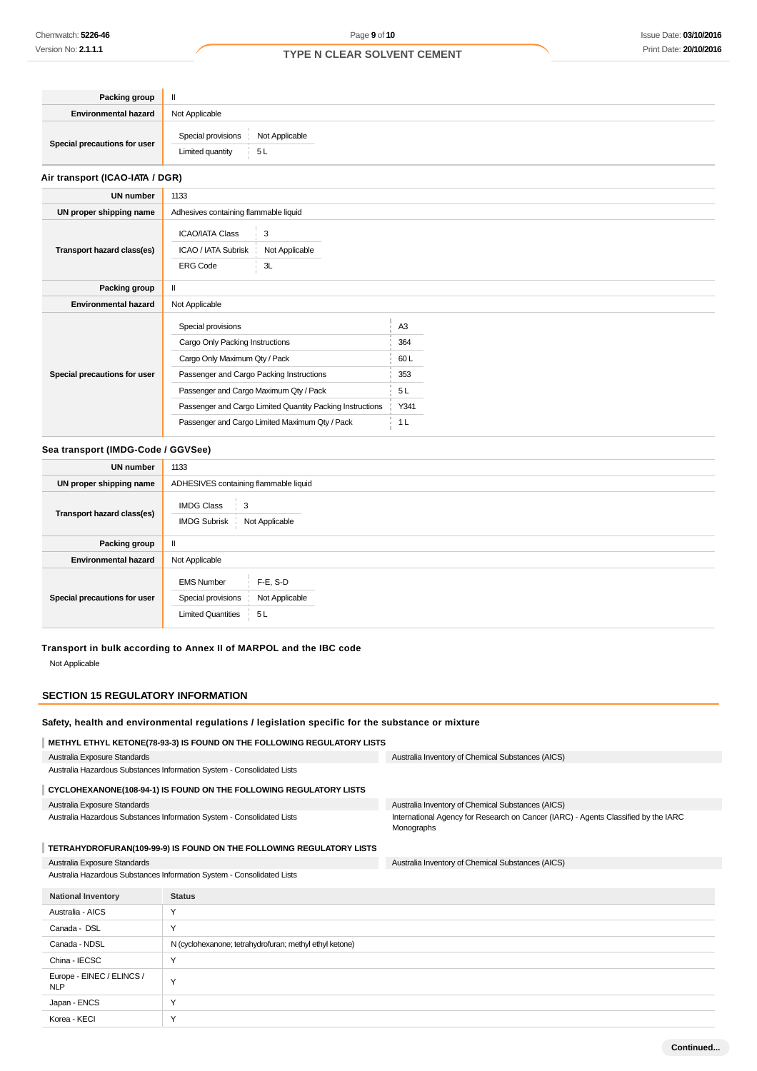**Continued...**

# **TYPE N CLEAR SOLVENT CEMENT**

| Packing group                |                                                             |
|------------------------------|-------------------------------------------------------------|
| <b>Environmental hazard</b>  | Not Applicable                                              |
| Special precautions for user | Special provisions Not Applicable<br>Limited quantity<br>5L |

# **Air transport (ICAO-IATA / DGR)**

| <b>UN number</b>             | 1133                                     |                                                           |                |  |
|------------------------------|------------------------------------------|-----------------------------------------------------------|----------------|--|
| UN proper shipping name      |                                          | Adhesives containing flammable liquid                     |                |  |
|                              | <b>ICAO/IATA Class</b>                   | 3                                                         |                |  |
| Transport hazard class(es)   | ICAO / IATA Subrisk                      | Not Applicable                                            |                |  |
|                              | <b>ERG Code</b>                          | 3L                                                        |                |  |
| Packing group                |                                          |                                                           |                |  |
| <b>Environmental hazard</b>  | Not Applicable                           |                                                           |                |  |
| Special precautions for user | Special provisions                       |                                                           | A <sub>3</sub> |  |
|                              | Cargo Only Packing Instructions          |                                                           | 364            |  |
|                              | Cargo Only Maximum Qty / Pack            |                                                           | 60 L           |  |
|                              | Passenger and Cargo Packing Instructions |                                                           | 353            |  |
|                              | Passenger and Cargo Maximum Qty / Pack   |                                                           | 5L             |  |
|                              |                                          | Passenger and Cargo Limited Quantity Packing Instructions | Y341           |  |
|                              |                                          | Passenger and Cargo Limited Maximum Qty / Pack            | 1 <sub>L</sub> |  |

### **Sea transport (IMDG-Code / GGVSee)**

| <b>UN number</b>             | 1133                                                                                                         |  |  |
|------------------------------|--------------------------------------------------------------------------------------------------------------|--|--|
| UN proper shipping name      | ADHESIVES containing flammable liquid                                                                        |  |  |
| Transport hazard class(es)   | <b>IMDG Class</b><br>3<br><b>IMDG Subrisk</b><br>Not Applicable                                              |  |  |
| Packing group                |                                                                                                              |  |  |
| <b>Environmental hazard</b>  | Not Applicable                                                                                               |  |  |
| Special precautions for user | $F-E$ , S-D<br><b>EMS Number</b><br>Not Applicable<br>Special provisions<br><b>Limited Quantities</b><br>5 L |  |  |

# **Transport in bulk according to Annex II of MARPOL and the IBC code**

Not Applicable

# **SECTION 15 REGULATORY INFORMATION**

# **Safety, health and environmental regulations / legislation specific for the substance or mixture**

| METHYL ETHYL KETONE(78-93-3) IS FOUND ON THE FOLLOWING REGULATORY LISTS |                                                         |                                                                                                  |  |
|-------------------------------------------------------------------------|---------------------------------------------------------|--------------------------------------------------------------------------------------------------|--|
| Australia Exposure Standards                                            |                                                         | Australia Inventory of Chemical Substances (AICS)                                                |  |
| Australia Hazardous Substances Information System - Consolidated Lists  |                                                         |                                                                                                  |  |
| CYCLOHEXANONE(108-94-1) IS FOUND ON THE FOLLOWING REGULATORY LISTS      |                                                         |                                                                                                  |  |
| Australia Exposure Standards                                            |                                                         | Australia Inventory of Chemical Substances (AICS)                                                |  |
| Australia Hazardous Substances Information System - Consolidated Lists  |                                                         | International Agency for Research on Cancer (IARC) - Agents Classified by the IARC<br>Monographs |  |
| TETRAHYDROFURAN(109-99-9) IS FOUND ON THE FOLLOWING REGULATORY LISTS    |                                                         |                                                                                                  |  |
| Australia Exposure Standards                                            |                                                         | Australia Inventory of Chemical Substances (AICS)                                                |  |
| Australia Hazardous Substances Information System - Consolidated Lists  |                                                         |                                                                                                  |  |
| <b>National Inventory</b>                                               | <b>Status</b>                                           |                                                                                                  |  |
| Australia - AICS                                                        | Υ                                                       |                                                                                                  |  |
| Canada - DSL                                                            | Y                                                       |                                                                                                  |  |
| Canada - NDSL                                                           | N (cyclohexanone; tetrahydrofuran; methyl ethyl ketone) |                                                                                                  |  |
| China - IECSC                                                           | Y                                                       |                                                                                                  |  |
| Europe - EINEC / ELINCS /<br><b>NLP</b>                                 | Y                                                       |                                                                                                  |  |
| Japan - ENCS                                                            | Y                                                       |                                                                                                  |  |
| Korea - KECI                                                            | Y                                                       |                                                                                                  |  |
|                                                                         |                                                         |                                                                                                  |  |